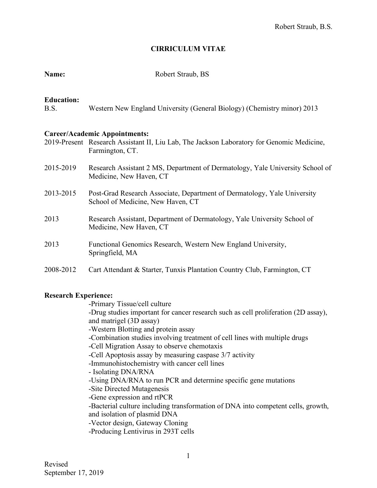## **CIRRICULUM VITAE**

| <b>Education:</b><br>B.S. | Western New England University (General Biology) (Chemistry minor) 2013                                                                              |
|---------------------------|------------------------------------------------------------------------------------------------------------------------------------------------------|
|                           | <b>Career/Academic Appointments:</b><br>2019-Present Research Assistant II, Liu Lab, The Jackson Laboratory for Genomic Medicine,<br>Farmington, CT. |
| 2015-2019                 | Research Assistant 2 MS, Department of Dermatology, Yale University School of<br>Medicine, New Haven, CT                                             |
| 2013-2015                 | Post-Grad Research Associate, Department of Dermatology, Yale University<br>School of Medicine, New Haven, CT                                        |
| 2013                      | Research Assistant, Department of Dermatology, Yale University School of<br>Medicine, New Haven, CT                                                  |
| 2013                      | Functional Genomics Research, Western New England University,<br>Springfield, MA                                                                     |
| 2008-2012                 | Cart Attendant & Starter, Tunxis Plantation Country Club, Farmington, CT                                                                             |

## **Research Experience:**

-Primary Tissue/cell culture

**Name:** Robert Straub, BS

-Drug studies important for cancer research such as cell proliferation (2D assay), and matrigel (3D assay)

-Western Blotting and protein assay

-Combination studies involving treatment of cell lines with multiple drugs

-Cell Migration Assay to observe chemotaxis

-Cell Apoptosis assay by measuring caspase 3/7 activity

-Immunohistochemistry with cancer cell lines

- Isolating DNA/RNA

-Using DNA/RNA to run PCR and determine specific gene mutations

-Site Directed Mutagenesis

-Gene expression and rtPCR

-Bacterial culture including transformation of DNA into competent cells, growth, and isolation of plasmid DNA

-Vector design, Gateway Cloning

-Producing Lentivirus in 293T cells